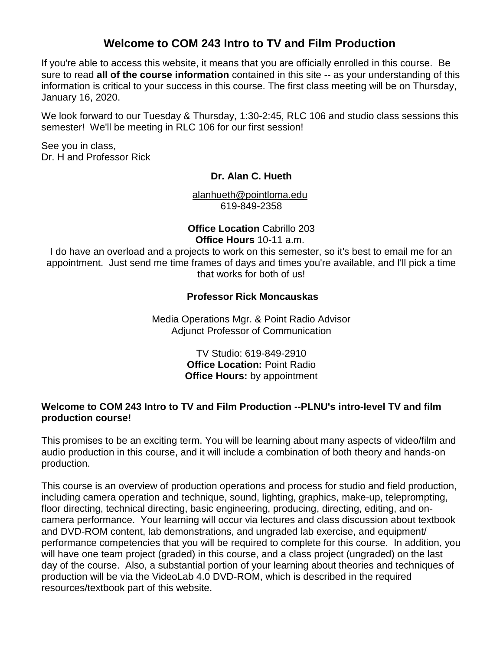# **Welcome to COM 243 Intro to TV and Film Production**

If you're able to access this website, it means that you are officially enrolled in this course. Be sure to read **all of the course information** contained in this site -- as your understanding of this information is critical to your success in this course. The first class meeting will be on Thursday, January 16, 2020.

We look forward to our Tuesday & Thursday, 1:30-2:45, RLC 106 and studio class sessions this semester! We'll be meeting in RLC 106 for our first session!

See you in class, Dr. H and Professor Rick

#### **Dr. Alan C. Hueth**

[alanhueth@pointloma.edu](mailto:alanhueth@pointloma.edu) 619-849-2358

## **Office Location** Cabrillo 203 **Office Hours** 10-11 a.m.

I do have an overload and a projects to work on this semester, so it's best to email me for an appointment. Just send me time frames of days and times you're available, and I'll pick a time that works for both of us!

### **Professor Rick Moncauskas**

Media Operations Mgr. & Point Radio Advisor Adjunct Professor of Communication

> TV Studio: 619-849-2910 **Office Location:** Point Radio **Office Hours:** by appointment

### **Welcome to COM 243 Intro to TV and Film Production --PLNU's intro-level TV and film production course!**

This promises to be an exciting term. You will be learning about many aspects of video/film and audio production in this course, and it will include a combination of both theory and hands-on production.

This course is an overview of production operations and process for studio and field production, including camera operation and technique, sound, lighting, graphics, make-up, teleprompting, floor directing, technical directing, basic engineering, producing, directing, editing, and oncamera performance. Your learning will occur via lectures and class discussion about textbook and DVD-ROM content, lab demonstrations, and ungraded lab exercise, and equipment/ performance competencies that you will be required to complete for this course. In addition, you will have one team project (graded) in this course, and a class project (ungraded) on the last day of the course. Also, a substantial portion of your learning about theories and techniques of production will be via the VideoLab 4.0 DVD-ROM, which is described in the required resources/textbook part of this website.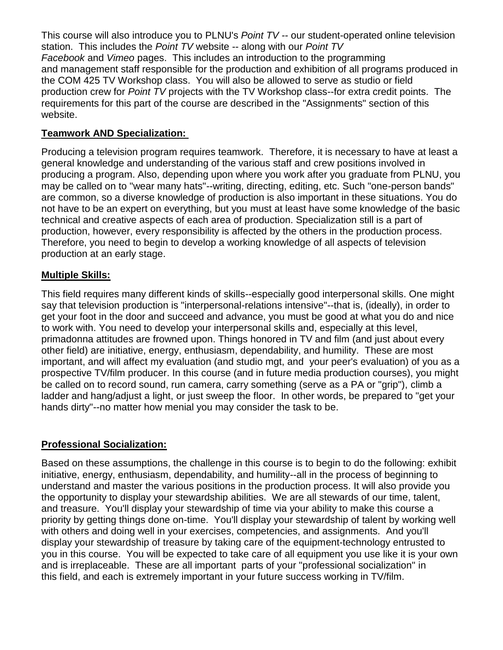This course will also introduce you to PLNU's *Point TV --* our student-operated online television station. This includes the *Point TV* website -- along with our *Point TV Facebook* and *Vimeo* pages. This includes an introduction to the programming and management staff responsible for the production and exhibition of all programs produced in the COM 425 TV Workshop class. You will also be allowed to serve as studio or field production crew for *Point TV* projects with the TV Workshop class--for extra credit points. The requirements for this part of the course are described in the "Assignments" section of this website.

### **Teamwork AND Specialization:**

Producing a television program requires teamwork. Therefore, it is necessary to have at least a general knowledge and understanding of the various staff and crew positions involved in producing a program. Also, depending upon where you work after you graduate from PLNU, you may be called on to "wear many hats"--writing, directing, editing, etc. Such "one-person bands" are common, so a diverse knowledge of production is also important in these situations. You do not have to be an expert on everything, but you must at least have some knowledge of the basic technical and creative aspects of each area of production. Specialization still is a part of production, however, every responsibility is affected by the others in the production process. Therefore, you need to begin to develop a working knowledge of all aspects of television production at an early stage.

### **Multiple Skills:**

This field requires many different kinds of skills--especially good interpersonal skills. One might say that television production is "interpersonal-relations intensive"--that is, (ideally), in order to get your foot in the door and succeed and advance, you must be good at what you do and nice to work with. You need to develop your interpersonal skills and, especially at this level, primadonna attitudes are frowned upon. Things honored in TV and film (and just about every other field) are initiative, energy, enthusiasm, dependability, and humility. These are most important, and will affect my evaluation (and studio mgt, and your peer's evaluation) of you as a prospective TV/film producer. In this course (and in future media production courses), you might be called on to record sound, run camera, carry something (serve as a PA or "grip"), climb a ladder and hang/adjust a light, or just sweep the floor. In other words, be prepared to "get your hands dirty"--no matter how menial you may consider the task to be.

## **Professional Socialization:**

Based on these assumptions, the challenge in this course is to begin to do the following: exhibit initiative, energy, enthusiasm, dependability, and humility--all in the process of beginning to understand and master the various positions in the production process. It will also provide you the opportunity to display your stewardship abilities. We are all stewards of our time, talent, and treasure. You'll display your stewardship of time via your ability to make this course a priority by getting things done on-time. You'll display your stewardship of talent by working well with others and doing well in your exercises, competencies, and assignments. And you'll display your stewardship of treasure by taking care of the equipment-technology entrusted to you in this course. You will be expected to take care of all equipment you use like it is your own and is irreplaceable. These are all important parts of your "professional socialization" in this field, and each is extremely important in your future success working in TV/film.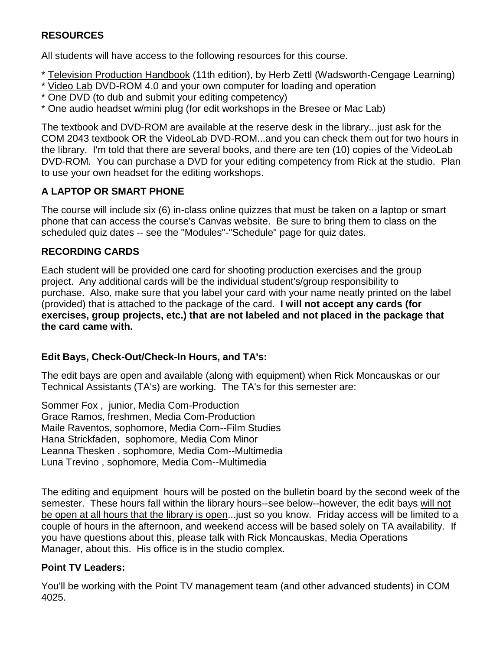## **RESOURCES**

All students will have access to the following resources for this course.

- \* Television Production Handbook (11th edition), by Herb Zettl (Wadsworth-Cengage Learning)
- \* Video Lab DVD-ROM 4.0 and your own computer for loading and operation
- \* One DVD (to dub and submit your editing competency)
- \* One audio headset w/mini plug (for edit workshops in the Bresee or Mac Lab)

The textbook and DVD-ROM are available at the reserve desk in the library...just ask for the COM 2043 textbook OR the VideoLab DVD-ROM...and you can check them out for two hours in the library. I'm told that there are several books, and there are ten (10) copies of the VideoLab DVD-ROM. You can purchase a DVD for your editing competency from Rick at the studio. Plan to use your own headset for the editing workshops.

## **A LAPTOP OR SMART PHONE**

The course will include six (6) in-class online quizzes that must be taken on a laptop or smart phone that can access the course's Canvas website. Be sure to bring them to class on the scheduled quiz dates -- see the "Modules"-"Schedule" page for quiz dates.

## **RECORDING CARDS**

Each student will be provided one card for shooting production exercises and the group project. Any additional cards will be the individual student's/group responsibility to purchase. Also, make sure that you label your card with your name neatly printed on the label (provided) that is attached to the package of the card. **I will not accept any cards (for exercises, group projects, etc.) that are not labeled and not placed in the package that the card came with.**

## **Edit Bays, Check-Out/Check-In Hours, and TA's:**

The edit bays are open and available (along with equipment) when Rick Moncauskas or our Technical Assistants (TA's) are working. The TA's for this semester are:

Sommer Fox , junior, Media Com-Production Grace Ramos, freshmen, Media Com-Production Maile Raventos, sophomore, Media Com--Film Studies Hana Strickfaden, sophomore, Media Com Minor Leanna Thesken , sophomore, Media Com--Multimedia Luna Trevino , sophomore, Media Com--Multimedia

The editing and equipment hours will be posted on the bulletin board by the second week of the semester. These hours fall within the library hours--see below--however, the edit bays will not be open at all hours that the library is open...just so you know. Friday access will be limited to a couple of hours in the afternoon, and weekend access will be based solely on TA availability. If you have questions about this, please talk with Rick Moncauskas, Media Operations Manager, about this. His office is in the studio complex.

## **Point TV Leaders:**

You'll be working with the Point TV management team (and other advanced students) in COM 4025.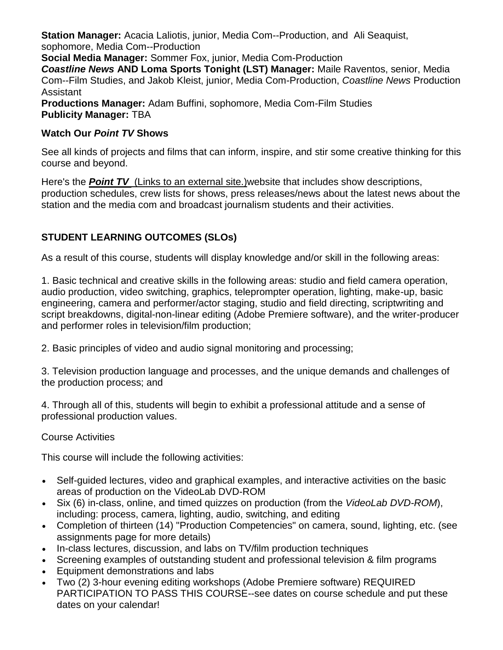**Station Manager:** Acacia Laliotis, junior, Media Com--Production, and Ali Seaquist, sophomore, Media Com--Production

**Social Media Manager:** Sommer Fox, junior, Media Com-Production

*Coastline News* **AND Loma Sports Tonight (LST) Manager:** Maile Raventos, senior, Media Com--Film Studies, and Jakob Kleist, junior, Media Com-Production, *Coastline News* Production Assistant

**Productions Manager:** Adam Buffini, sophomore, Media Com-Film Studies **Publicity Manager:** TBA

## **Watch Our** *Point TV* **Shows**

See all kinds of projects and films that can inform, inspire, and stir some creative thinking for this course and beyond.

Here's the *[Point TV](https://pointtvplnu.com/)* (Links to an external site.)website that includes show descriptions, production schedules, crew lists for shows, press releases/news about the latest news about the station and the media com and broadcast journalism students and their activities.

## **STUDENT LEARNING OUTCOMES (SLOs)**

As a result of this course, students will display knowledge and/or skill in the following areas:

1. Basic technical and creative skills in the following areas: studio and field camera operation, audio production, video switching, graphics, teleprompter operation, lighting, make-up, basic engineering, camera and performer/actor staging, studio and field directing, scriptwriting and script breakdowns, digital-non-linear editing (Adobe Premiere software), and the writer-producer and performer roles in television/film production;

2. Basic principles of video and audio signal monitoring and processing;

3. Television production language and processes, and the unique demands and challenges of the production process; and

4. Through all of this, students will begin to exhibit a professional attitude and a sense of professional production values.

## Course Activities

This course will include the following activities:

- Self-guided lectures, video and graphical examples, and interactive activities on the basic areas of production on the VideoLab DVD-ROM
- Six (6) in-class, online, and timed quizzes on production (from the *VideoLab DVD-ROM*), including: process, camera, lighting, audio, switching, and editing
- Completion of thirteen (14) "Production Competencies" on camera, sound, lighting, etc. (see assignments page for more details)
- In-class lectures, discussion, and labs on TV/film production techniques
- Screening examples of outstanding student and professional television & film programs
- Equipment demonstrations and labs
- Two (2) 3-hour evening editing workshops (Adobe Premiere software) REQUIRED PARTICIPATION TO PASS THIS COURSE--see dates on course schedule and put these dates on your calendar!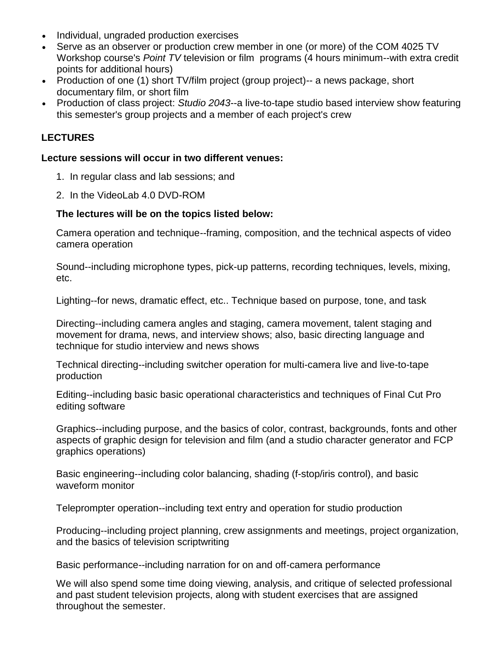- Individual, ungraded production exercises
- Serve as an observer or production crew member in one (or more) of the COM 4025 TV Workshop course's *Point TV* television or film programs (4 hours minimum--with extra credit points for additional hours)
- Production of one (1) short TV/film project (group project)-- a news package, short documentary film, or short film
- Production of class project: *Studio 2043*--a live-to-tape studio based interview show featuring this semester's group projects and a member of each project's crew

## **LECTURES**

#### **Lecture sessions will occur in two different venues:**

- 1. In regular class and lab sessions; and
- 2. In the VideoLab 4.0 DVD-ROM

### **The lectures will be on the topics listed below:**

Camera operation and technique--framing, composition, and the technical aspects of video camera operation

Sound--including microphone types, pick-up patterns, recording techniques, levels, mixing, etc.

Lighting--for news, dramatic effect, etc.. Technique based on purpose, tone, and task

Directing--including camera angles and staging, camera movement, talent staging and movement for drama, news, and interview shows; also, basic directing language and technique for studio interview and news shows

Technical directing--including switcher operation for multi-camera live and live-to-tape production

Editing--including basic basic operational characteristics and techniques of Final Cut Pro editing software

Graphics--including purpose, and the basics of color, contrast, backgrounds, fonts and other aspects of graphic design for television and film (and a studio character generator and FCP graphics operations)

Basic engineering--including color balancing, shading (f-stop/iris control), and basic waveform monitor

Teleprompter operation--including text entry and operation for studio production

Producing--including project planning, crew assignments and meetings, project organization, and the basics of television scriptwriting

Basic performance--including narration for on and off-camera performance

We will also spend some time doing viewing, analysis, and critique of selected professional and past student television projects, along with student exercises that are assigned throughout the semester.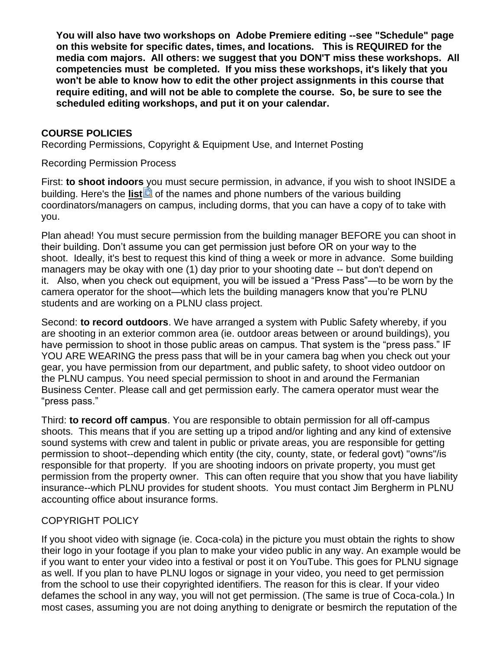**You will also have two workshops on Adobe Premiere editing --see "Schedule" page on this website for specific dates, times, and locations. This is REQUIRED for the media com majors. All others: we suggest that you DON'T miss these workshops. All competencies must be completed. If you miss these workshops, it's likely that you won't be able to know how to edit the other project assignments in this course that require editing, and will not be able to complete the course. So, be sure to see the scheduled editing workshops, and put it on your calendar.**

## **COURSE POLICIES**

Recording Permissions, Copyright & Equipment Use, and Internet Posting

Recording Permission Process

First: **to shoot indoors** you must secure permission, in advance, if you wish to shoot INSIDE a building. Here's the **[list](https://canvas.pointloma.edu/courses/48070/files/2984195/download?wrap=1)** of the names and phone numbers of the various building coordinators/managers on campus, including dorms, that you can have a copy of to take with you.

Plan ahead! You must secure permission from the building manager BEFORE you can shoot in their building. Don't assume you can get permission just before OR on your way to the shoot. Ideally, it's best to request this kind of thing a week or more in advance. Some building managers may be okay with one (1) day prior to your shooting date -- but don't depend on it. Also, when you check out equipment, you will be issued a "Press Pass"—to be worn by the camera operator for the shoot—which lets the building managers know that you're PLNU students and are working on a PLNU class project.

Second: **to record outdoors**. We have arranged a system with Public Safety whereby, if you are shooting in an exterior common area (ie. outdoor areas between or around buildings), you have permission to shoot in those public areas on campus. That system is the "press pass." IF YOU ARE WEARING the press pass that will be in your camera bag when you check out your gear, you have permission from our department, and public safety, to shoot video outdoor on the PLNU campus. You need special permission to shoot in and around the Fermanian Business Center. Please call and get permission early. The camera operator must wear the "press pass."

Third: **to record off campus**. You are responsible to obtain permission for all off-campus shoots. This means that if you are setting up a tripod and/or lighting and any kind of extensive sound systems with crew and talent in public or private areas, you are responsible for getting permission to shoot--depending which entity (the city, county, state, or federal govt) "owns"/is responsible for that property. If you are shooting indoors on private property, you must get permission from the property owner. This can often require that you show that you have liability insurance--which PLNU provides for student shoots. You must contact Jim Bergherm in PLNU accounting office about insurance forms.

## COPYRIGHT POLICY

If you shoot video with signage (ie. Coca-cola) in the picture you must obtain the rights to show their logo in your footage if you plan to make your video public in any way. An example would be if you want to enter your video into a festival or post it on YouTube. This goes for PLNU signage as well. If you plan to have PLNU logos or signage in your video, you need to get permission from the school to use their copyrighted identifiers. The reason for this is clear. If your video defames the school in any way, you will not get permission. (The same is true of Coca-cola.) In most cases, assuming you are not doing anything to denigrate or besmirch the reputation of the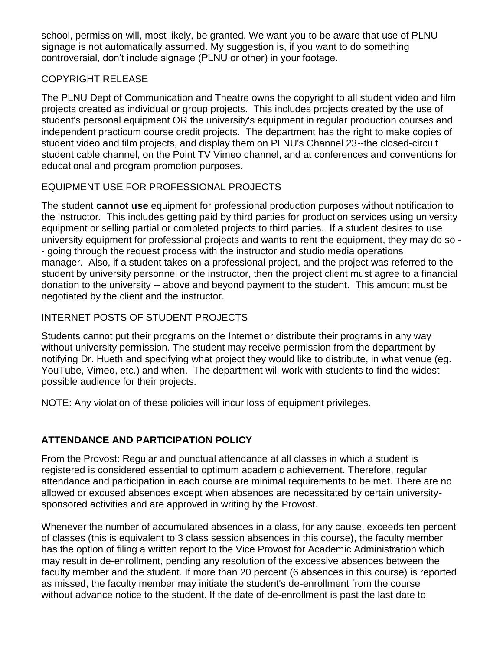school, permission will, most likely, be granted. We want you to be aware that use of PLNU signage is not automatically assumed. My suggestion is, if you want to do something controversial, don't include signage (PLNU or other) in your footage.

## COPYRIGHT RELEASE

The PLNU Dept of Communication and Theatre owns the copyright to all student video and film projects created as individual or group projects. This includes projects created by the use of student's personal equipment OR the university's equipment in regular production courses and independent practicum course credit projects. The department has the right to make copies of student video and film projects, and display them on PLNU's Channel 23--the closed-circuit student cable channel, on the Point TV Vimeo channel, and at conferences and conventions for educational and program promotion purposes.

## EQUIPMENT USE FOR PROFESSIONAL PROJECTS

The student **cannot use** equipment for professional production purposes without notification to the instructor. This includes getting paid by third parties for production services using university equipment or selling partial or completed projects to third parties. If a student desires to use university equipment for professional projects and wants to rent the equipment, they may do so - - going through the request process with the instructor and studio media operations manager. Also, if a student takes on a professional project, and the project was referred to the student by university personnel or the instructor, then the project client must agree to a financial donation to the university -- above and beyond payment to the student. This amount must be negotiated by the client and the instructor.

# INTERNET POSTS OF STUDENT PROJECTS

Students cannot put their programs on the Internet or distribute their programs in any way without university permission. The student may receive permission from the department by notifying Dr. Hueth and specifying what project they would like to distribute, in what venue (eg. YouTube, Vimeo, etc.) and when. The department will work with students to find the widest possible audience for their projects.

NOTE: Any violation of these policies will incur loss of equipment privileges.

# **ATTENDANCE AND PARTICIPATION POLICY**

From the Provost: Regular and punctual attendance at all classes in which a student is registered is considered essential to optimum academic achievement. Therefore, regular attendance and participation in each course are minimal requirements to be met. There are no allowed or excused absences except when absences are necessitated by certain universitysponsored activities and are approved in writing by the Provost.

Whenever the number of accumulated absences in a class, for any cause, exceeds ten percent of classes (this is equivalent to 3 class session absences in this course), the faculty member has the option of filing a written report to the Vice Provost for Academic Administration which may result in de-enrollment, pending any resolution of the excessive absences between the faculty member and the student. If more than 20 percent (6 absences in this course) is reported as missed, the faculty member may initiate the student's de-enrollment from the course without advance notice to the student. If the date of de-enrollment is past the last date to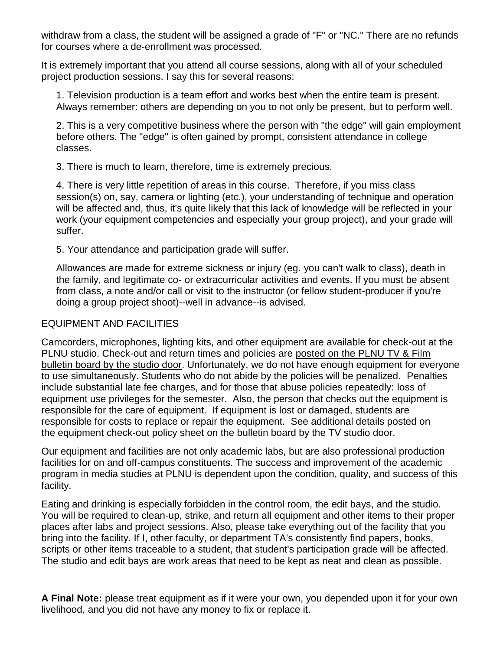withdraw from a class, the student will be assigned a grade of "F" or "NC." There are no refunds for courses where a de-enrollment was processed.

It is extremely important that you attend all course sessions, along with all of your scheduled project production sessions. I say this for several reasons:

1. Television production is a team effort and works best when the entire team is present. Always remember: others are depending on you to not only be present, but to perform well.

2. This is a very competitive business where the person with "the edge" will gain employment before others. The "edge" is often gained by prompt, consistent attendance in college classes.

3. There is much to learn, therefore, time is extremely precious.

4. There is very little repetition of areas in this course. Therefore, if you miss class session(s) on, say, camera or lighting (etc.), your understanding of technique and operation will be affected and, thus, it's quite likely that this lack of knowledge will be reflected in your work (your equipment competencies and especially your group project), and your grade will suffer.

5. Your attendance and participation grade will suffer.

Allowances are made for extreme sickness or injury (eg. you can't walk to class), death in the family, and legitimate co- or extracurricular activities and events. If you must be absent from class, a note and/or call or visit to the instructor (or fellow student-producer if you're doing a group project shoot)--well in advance--is advised.

### EQUIPMENT AND FACILITIES

Camcorders, microphones, lighting kits, and other equipment are available for check-out at the PLNU studio. Check-out and return times and policies are posted on the PLNU TV & Film bulletin board by the studio door. Unfortunately, we do not have enough equipment for everyone to use simultaneously. Students who do not abide by the policies will be penalized. Penalties include substantial late fee charges, and for those that abuse policies repeatedly: loss of equipment use privileges for the semester. Also, the person that checks out the equipment is responsible for the care of equipment. If equipment is lost or damaged, students are responsible for costs to replace or repair the equipment. See additional details posted on the equipment check-out policy sheet on the bulletin board by the TV studio door.

Our equipment and facilities are not only academic labs, but are also professional production facilities for on and off-campus constituents. The success and improvement of the academic program in media studies at PLNU is dependent upon the condition, quality, and success of this facility.

Eating and drinking is especially forbidden in the control room, the edit bays, and the studio. You will be required to clean-up, strike, and return all equipment and other items to their proper places after labs and project sessions. Also, please take everything out of the facility that you bring into the facility. If I, other faculty, or department TA's consistently find papers, books, scripts or other items traceable to a student, that student's participation grade will be affected. The studio and edit bays are work areas that need to be kept as neat and clean as possible.

**A Final Note:** please treat equipment as if it were your own, you depended upon it for your own livelihood, and you did not have any money to fix or replace it.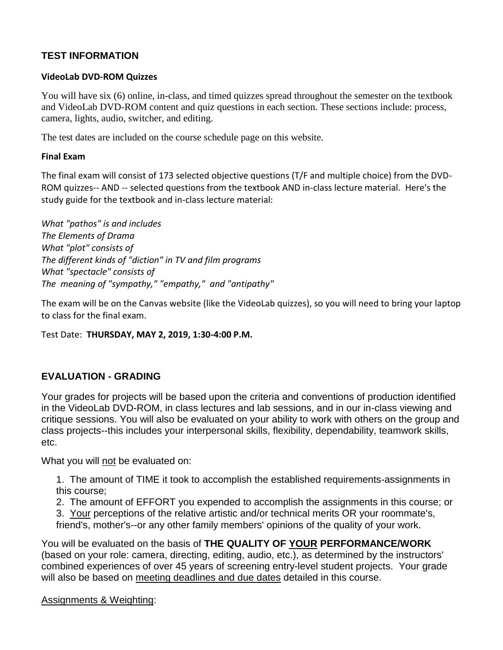## **TEST INFORMATION**

#### **VideoLab DVD-ROM Quizzes**

You will have six (6) online, in-class, and timed quizzes spread throughout the semester on the textbook and VideoLab DVD-ROM content and quiz questions in each section. These sections include: process, camera, lights, audio, switcher, and editing.

The test dates are included on the course schedule page on this website.

#### **Final Exam**

The final exam will consist of 173 selected objective questions (T/F and multiple choice) from the DVD-ROM quizzes-- AND -- selected questions from the textbook AND in-class lecture material. Here's the study guide for the textbook and in-class lecture material:

*What "pathos" is and includes The Elements of Drama What "plot" consists of The different kinds of "diction" in TV and film programs What "spectacle" consists of The meaning of "sympathy," "empathy," and "antipathy"*

The exam will be on the Canvas website (like the VideoLab quizzes), so you will need to bring your laptop to class for the final exam.

#### Test Date: **THURSDAY, MAY 2, 2019, 1:30-4:00 P.M.**

## **EVALUATION - GRADING**

Your grades for projects will be based upon the criteria and conventions of production identified in the VideoLab DVD-ROM, in class lectures and lab sessions, and in our in-class viewing and critique sessions. You will also be evaluated on your ability to work with others on the group and class projects--this includes your interpersonal skills, flexibility, dependability, teamwork skills, etc.

What you will not be evaluated on:

1. The amount of TIME it took to accomplish the established requirements-assignments in this course;

2. The amount of EFFORT you expended to accomplish the assignments in this course; or

3. Your perceptions of the relative artistic and/or technical merits OR your roommate's, friend's, mother's--or any other family members' opinions of the quality of your work.

You will be evaluated on the basis of **THE QUALITY OF YOUR PERFORMANCE/WORK** (based on your role: camera, directing, editing, audio, etc.), as determined by the instructors' combined experiences of over 45 years of screening entry-level student projects. Your grade will also be based on meeting deadlines and due dates detailed in this course.

#### Assignments & Weighting: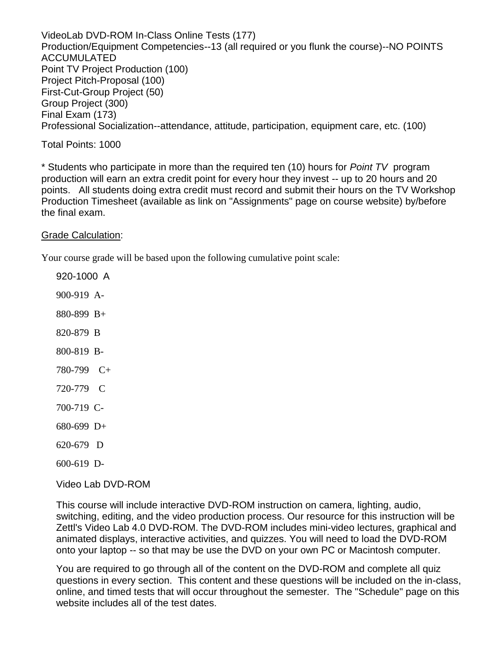VideoLab DVD-ROM In-Class Online Tests (177) Production/Equipment Competencies--13 (all required or you flunk the course)--NO POINTS ACCUMULATED Point TV Project Production (100) Project Pitch-Proposal (100) First-Cut-Group Project (50) Group Project (300) Final Exam (173) Professional Socialization--attendance, attitude, participation, equipment care, etc. (100)

Total Points: 1000

\* Students who participate in more than the required ten (10) hours for *Point TV* program production will earn an extra credit point for every hour they invest -- up to 20 hours and 20 points. All students doing extra credit must record and submit their hours on the TV Workshop Production Timesheet (available as link on "Assignments" page on course website) by/before the final exam.

Grade Calculation:

Your course grade will be based upon the following cumulative point scale:

920-1000 A 900-919 A-880-899 B+ 820-879 B 800-819 B-780-799 C+ 720-779 C 700-719 C-680-699 D+ 620-679 D 600-619 D-

Video Lab DVD-ROM

This course will include interactive DVD-ROM instruction on camera, lighting, audio, switching, editing, and the video production process. Our resource for this instruction will be Zettl's Video Lab 4.0 DVD-ROM. The DVD-ROM includes mini-video lectures, graphical and animated displays, interactive activities, and quizzes. You will need to load the DVD-ROM onto your laptop -- so that may be use the DVD on your own PC or Macintosh computer.

You are required to go through all of the content on the DVD-ROM and complete all quiz questions in every section. This content and these questions will be included on the in-class, online, and timed tests that will occur throughout the semester. The "Schedule" page on this website includes all of the test dates.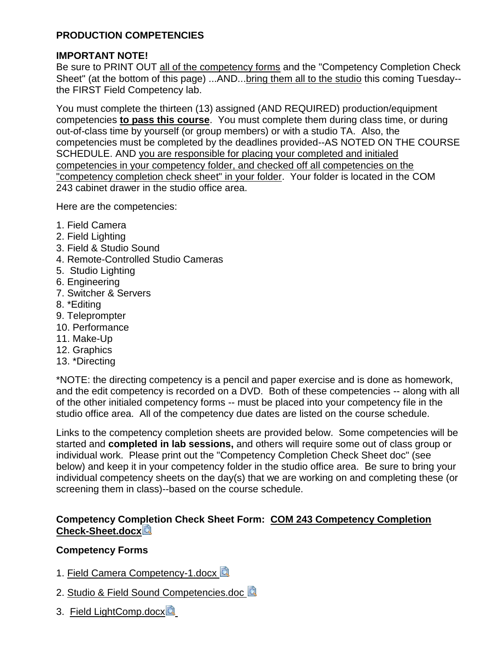## **PRODUCTION COMPETENCIES**

## **IMPORTANT NOTE!**

Be sure to PRINT OUT all of the competency forms and the "Competency Completion Check Sheet" (at the bottom of this page) ...AND...bring them all to the studio this coming Tuesday- the FIRST Field Competency lab.

You must complete the thirteen (13) assigned (AND REQUIRED) production/equipment competencies **to pass this course**. You must complete them during class time, or during out-of-class time by yourself (or group members) or with a studio TA. Also, the competencies must be completed by the deadlines provided--AS NOTED ON THE COURSE SCHEDULE. AND you are responsible for placing your completed and initialed competencies in your competency folder, and checked off all competencies on the "competency completion check sheet" in your folder. Your folder is located in the COM 243 cabinet drawer in the studio office area.

Here are the competencies:

- 1. Field Camera
- 2. Field Lighting
- 3. Field & Studio Sound
- 4. Remote-Controlled Studio Cameras
- 5. Studio Lighting
- 6. Engineering
- 7. Switcher & Servers
- 8. \*Editing
- 9. Teleprompter
- 10. Performance
- 11. Make-Up
- 12. Graphics
- 13. \*Directing

\*NOTE: the directing competency is a pencil and paper exercise and is done as homework, and the edit competency is recorded on a DVD. Both of these competencies -- along with all of the other initialed competency forms -- must be placed into your competency file in the studio office area. All of the competency due dates are listed on the course schedule.

Links to the competency completion sheets are provided below. Some competencies will be started and **completed in lab sessions,** and others will require some out of class group or individual work. Please print out the "Competency Completion Check Sheet doc" (see below) and keep it in your competency folder in the studio office area. Be sure to bring your individual competency sheets on the day(s) that we are working on and completing these (or screening them in class)--based on the course schedule.

## **Competency Completion Check Sheet Form: [COM 243 Competency Completion](https://canvas.pointloma.edu/courses/48070/files/2968352/download?wrap=1)  [Check-Sheet.docx](https://canvas.pointloma.edu/courses/48070/files/2968352/download?wrap=1)**

## **Competency Forms**

- 1. [Field Camera Competency-1.docx](https://canvas.pointloma.edu/courses/48070/files/2968386/download?wrap=1) **2**
- 2. [Studio & Field Sound Competencies.doc](https://canvas.pointloma.edu/courses/48070/files/2968330/download?wrap=1)
- 3. [Field LightComp.docx](https://canvas.pointloma.edu/courses/48070/files/2968304/download?wrap=1)